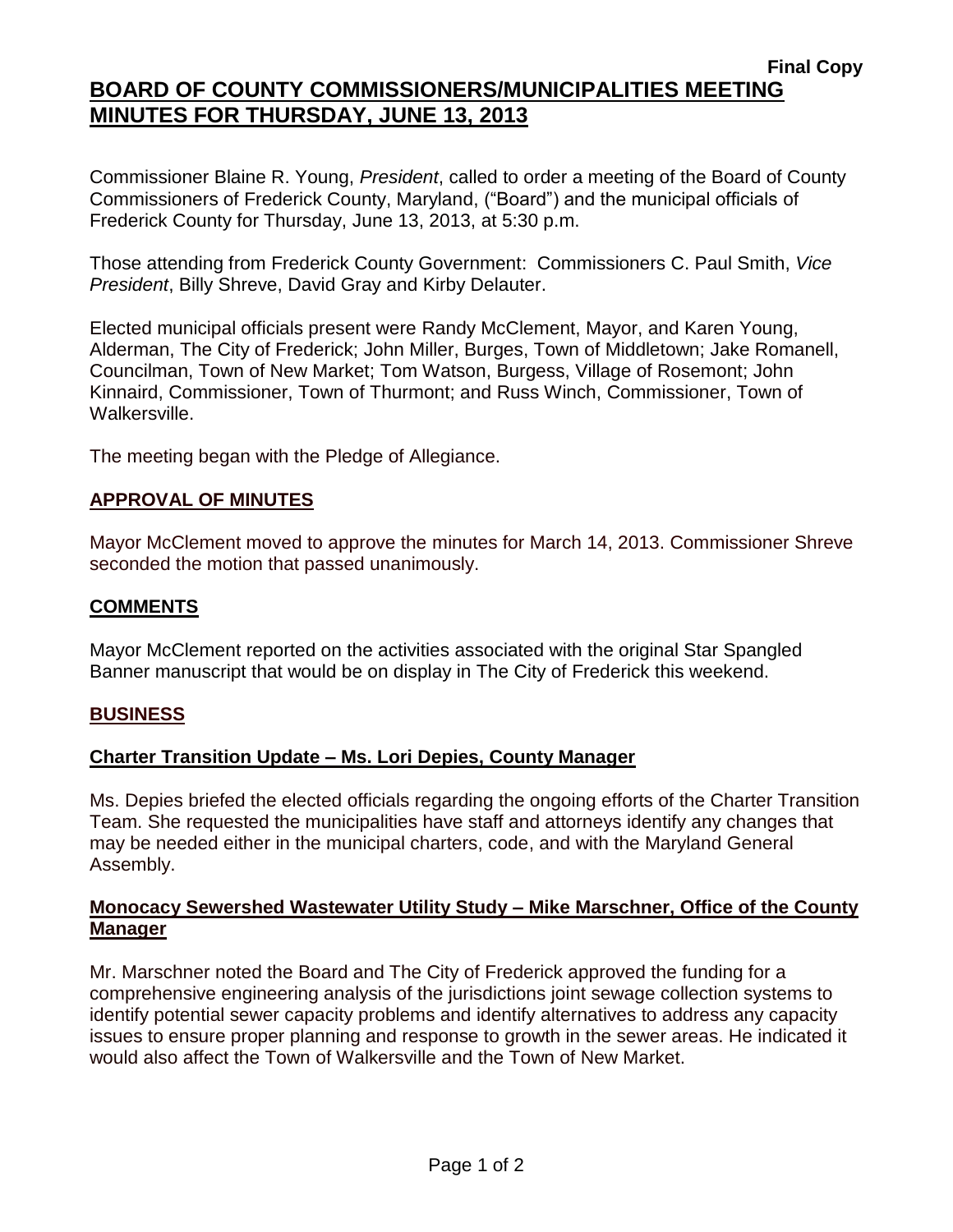# **BOARD OF COUNTY COMMISSIONERS/MUNICIPALITIES MEETING MINUTES FOR THURSDAY, JUNE 13, 2013**

Commissioner Blaine R. Young, *President*, called to order a meeting of the Board of County Commissioners of Frederick County, Maryland, ("Board") and the municipal officials of Frederick County for Thursday, June 13, 2013, at 5:30 p.m.

Those attending from Frederick County Government: Commissioners C. Paul Smith, *Vice President*, Billy Shreve, David Gray and Kirby Delauter.

Elected municipal officials present were Randy McClement, Mayor, and Karen Young, Alderman, The City of Frederick; John Miller, Burges, Town of Middletown; Jake Romanell, Councilman, Town of New Market; Tom Watson, Burgess, Village of Rosemont; John Kinnaird, Commissioner, Town of Thurmont; and Russ Winch, Commissioner, Town of Walkersville.

The meeting began with the Pledge of Allegiance.

### **APPROVAL OF MINUTES**

Mayor McClement moved to approve the minutes for March 14, 2013. Commissioner Shreve seconded the motion that passed unanimously.

#### **COMMENTS**

Mayor McClement reported on the activities associated with the original Star Spangled Banner manuscript that would be on display in The City of Frederick this weekend.

#### **BUSINESS**

### **Charter Transition Update – Ms. Lori Depies, County Manager**

Ms. Depies briefed the elected officials regarding the ongoing efforts of the Charter Transition Team. She requested the municipalities have staff and attorneys identify any changes that may be needed either in the municipal charters, code, and with the Maryland General Assembly.

### **Monocacy Sewershed Wastewater Utility Study – Mike Marschner, Office of the County Manager**

Mr. Marschner noted the Board and The City of Frederick approved the funding for a comprehensive engineering analysis of the jurisdictions joint sewage collection systems to identify potential sewer capacity problems and identify alternatives to address any capacity issues to ensure proper planning and response to growth in the sewer areas. He indicated it would also affect the Town of Walkersville and the Town of New Market.